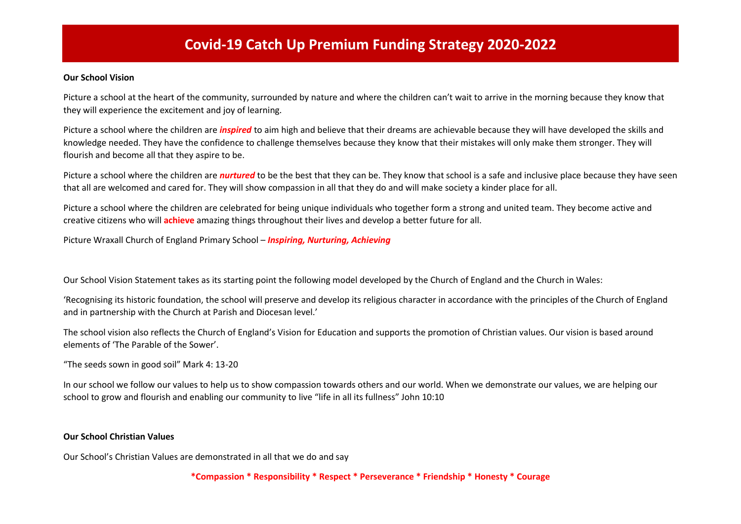# **Covid-19 Catch Up Premium Funding Strategy 2020-2022**

#### **Our School Vision**

Picture a school at the heart of the community, surrounded by nature and where the children can't wait to arrive in the morning because they know that they will experience the excitement and joy of learning.

Picture a school where the children are *inspired* to aim high and believe that their dreams are achievable because they will have developed the skills and knowledge needed. They have the confidence to challenge themselves because they know that their mistakes will only make them stronger. They will flourish and become all that they aspire to be.

Picture a school where the children are *nurtured* to be the best that they can be. They know that school is a safe and inclusive place because they have seen that all are welcomed and cared for. They will show compassion in all that they do and will make society a kinder place for all.

Picture a school where the children are celebrated for being unique individuals who together form a strong and united team. They become active and creative citizens who will **achieve** amazing things throughout their lives and develop a better future for all.

Picture Wraxall Church of England Primary School – *Inspiring, Nurturing, Achieving*

Our School Vision Statement takes as its starting point the following model developed by the Church of England and the Church in Wales:

'Recognising its historic foundation, the school will preserve and develop its religious character in accordance with the principles of the Church of England and in partnership with the Church at Parish and Diocesan level.'

The school vision also reflects the Church of England's Vision for Education and supports the promotion of Christian values. Our vision is based around elements of 'The Parable of the Sower'.

"The seeds sown in good soil" Mark 4: 13-20

In our school we follow our values to help us to show compassion towards others and our world. When we demonstrate our values, we are helping our school to grow and flourish and enabling our community to live "life in all its fullness" John 10:10

#### **Our School Christian Values**

Our School's Christian Values are demonstrated in all that we do and say

**\*Compassion \* Responsibility \* Respect \* Perseverance \* Friendship \* Honesty \* Courage**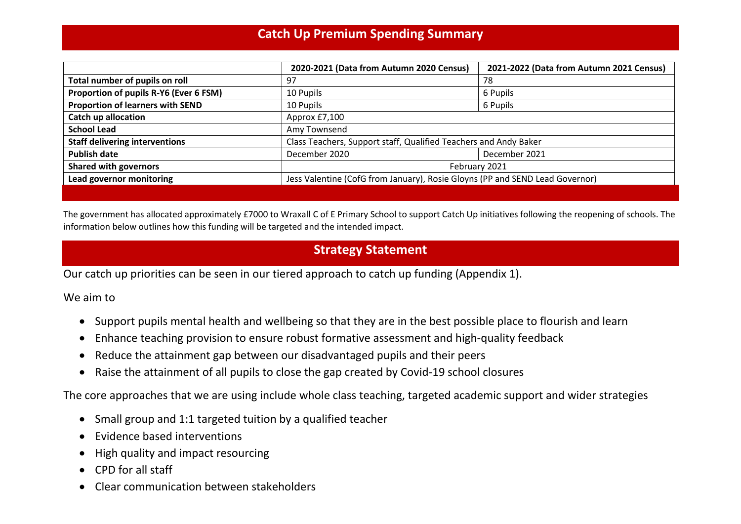## **Catch Up Premium Spending Summary**

|                                         | 2020-2021 (Data from Autumn 2020 Census)                                     | 2021-2022 (Data from Autumn 2021 Census) |  |
|-----------------------------------------|------------------------------------------------------------------------------|------------------------------------------|--|
| Total number of pupils on roll          | 97                                                                           | 78                                       |  |
| Proportion of pupils R-Y6 (Ever 6 FSM)  | 10 Pupils                                                                    | 6 Pupils                                 |  |
| <b>Proportion of learners with SEND</b> | 6 Pupils<br>10 Pupils                                                        |                                          |  |
| <b>Catch up allocation</b>              | Approx £7,100                                                                |                                          |  |
| <b>School Lead</b>                      | Amy Townsend                                                                 |                                          |  |
| <b>Staff delivering interventions</b>   | Class Teachers, Support staff, Qualified Teachers and Andy Baker             |                                          |  |
| <b>Publish date</b>                     | December 2021<br>December 2020                                               |                                          |  |
| <b>Shared with governors</b>            | February 2021                                                                |                                          |  |
| Lead governor monitoring                | Jess Valentine (CofG from January), Rosie Gloyns (PP and SEND Lead Governor) |                                          |  |
|                                         |                                                                              |                                          |  |

The government has allocated approximately £7000 to Wraxall C of E Primary School to support Catch Up initiatives following the reopening of schools. The information below outlines how this funding will be targeted and the intended impact.

## **Strategy Statement**

Our catch up priorities can be seen in our tiered approach to catch up funding (Appendix 1).

We aim to

- Support pupils mental health and wellbeing so that they are in the best possible place to flourish and learn
- Enhance teaching provision to ensure robust formative assessment and high-quality feedback
- Reduce the attainment gap between our disadvantaged pupils and their peers
- Raise the attainment of all pupils to close the gap created by Covid-19 school closures

The core approaches that we are using include whole class teaching, targeted academic support and wider strategies

- Small group and 1:1 targeted tuition by a qualified teacher
- Evidence based interventions
- High quality and impact resourcing
- CPD for all staff
- Clear communication between stakeholders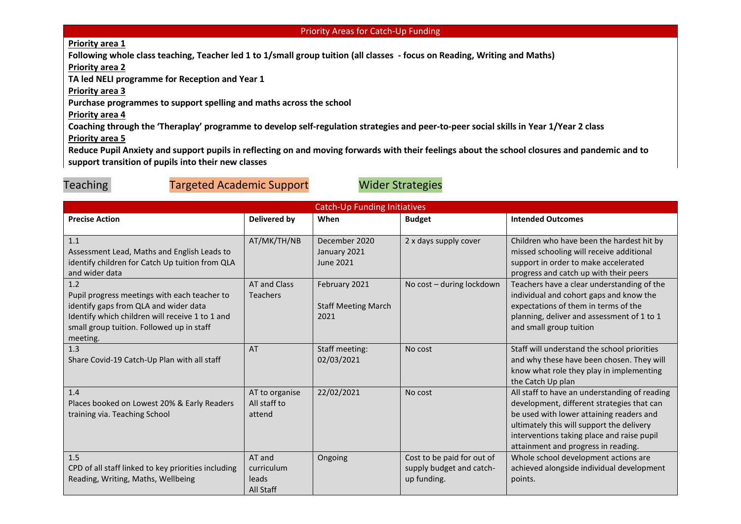#### Priority Areas for Catch-Up Funding

#### **Priority area 1**

**Following whole class teaching, Teacher led 1 to 1/small group tuition (all classes - focus on Reading, Writing and Maths)** 

**Priority area 2**

**TA led NELI programme for Reception and Year 1**

**Priority area 3**

**Purchase programmes to support spelling and maths across the school**

### **Priority area 4**

**Coaching through the 'Theraplay' programme to develop self-regulation strategies and peer-to-peer social skills in Year 1/Year 2 class**

**Priority area 5**

**Reduce Pupil Anxiety and support pupils in reflecting on and moving forwards with their feelings about the school closures and pandemic and to support transition of pupils into their new classes** 

### Teaching Targeted Academic Support Wider Strategies

| <b>Catch-Up Funding Initiatives</b>                                                                                                                                                                      |                                            |                                                     |                                                                       |                                                                                                                                                                                                                                                                           |
|----------------------------------------------------------------------------------------------------------------------------------------------------------------------------------------------------------|--------------------------------------------|-----------------------------------------------------|-----------------------------------------------------------------------|---------------------------------------------------------------------------------------------------------------------------------------------------------------------------------------------------------------------------------------------------------------------------|
| <b>Precise Action</b>                                                                                                                                                                                    | <b>Delivered by</b>                        | When                                                | <b>Budget</b>                                                         | <b>Intended Outcomes</b>                                                                                                                                                                                                                                                  |
| 1.1<br>Assessment Lead, Maths and English Leads to<br>identify children for Catch Up tuition from QLA<br>and wider data                                                                                  | AT/MK/TH/NB                                | December 2020<br>January 2021<br><b>June 2021</b>   | 2 x days supply cover                                                 | Children who have been the hardest hit by<br>missed schooling will receive additional<br>support in order to make accelerated<br>progress and catch up with their peers                                                                                                   |
| 1.2<br>Pupil progress meetings with each teacher to<br>identify gaps from QLA and wider data<br>Identify which children will receive 1 to 1 and<br>small group tuition. Followed up in staff<br>meeting. | <b>AT and Class</b><br><b>Teachers</b>     | February 2021<br><b>Staff Meeting March</b><br>2021 | No cost - during lockdown                                             | Teachers have a clear understanding of the<br>individual and cohort gaps and know the<br>expectations of them in terms of the<br>planning, deliver and assessment of 1 to 1<br>and small group tuition                                                                    |
| 1.3<br>Share Covid-19 Catch-Up Plan with all staff                                                                                                                                                       | <b>AT</b>                                  | Staff meeting:<br>02/03/2021                        | No cost                                                               | Staff will understand the school priorities<br>and why these have been chosen. They will<br>know what role they play in implementing<br>the Catch Up plan                                                                                                                 |
| 1.4<br>Places booked on Lowest 20% & Early Readers<br>training via. Teaching School                                                                                                                      | AT to organise<br>All staff to<br>attend   | 22/02/2021                                          | No cost                                                               | All staff to have an understanding of reading<br>development, different strategies that can<br>be used with lower attaining readers and<br>ultimately this will support the delivery<br>interventions taking place and raise pupil<br>attainment and progress in reading. |
| 1.5<br>CPD of all staff linked to key priorities including<br>Reading, Writing, Maths, Wellbeing                                                                                                         | AT and<br>curriculum<br>leads<br>All Staff | Ongoing                                             | Cost to be paid for out of<br>supply budget and catch-<br>up funding. | Whole school development actions are<br>achieved alongside individual development<br>points.                                                                                                                                                                              |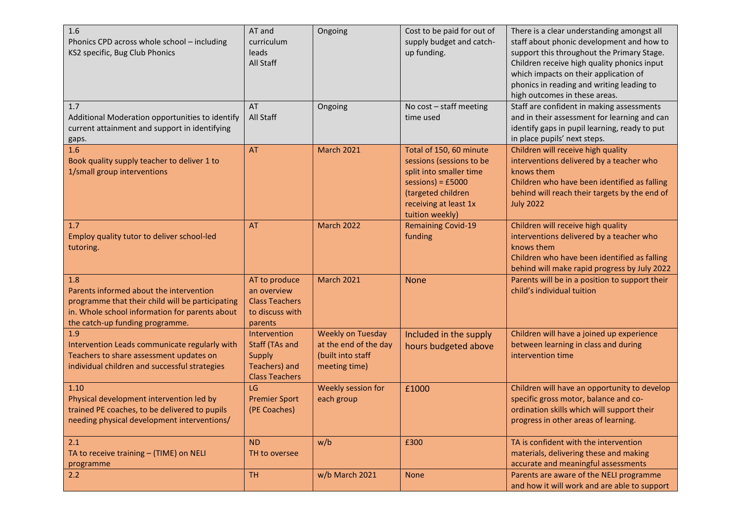| 1.6<br>Phonics CPD across whole school - including<br>KS2 specific, Bug Club Phonics                                                                                                    | AT and<br>curriculum<br>leads<br>All Staff                                                       | Ongoing                                                                                 | Cost to be paid for out of<br>supply budget and catch-<br>up funding.                                                                                                   | There is a clear understanding amongst all<br>staff about phonic development and how to<br>support this throughout the Primary Stage.<br>Children receive high quality phonics input<br>which impacts on their application of<br>phonics in reading and writing leading to<br>high outcomes in these areas. |
|-----------------------------------------------------------------------------------------------------------------------------------------------------------------------------------------|--------------------------------------------------------------------------------------------------|-----------------------------------------------------------------------------------------|-------------------------------------------------------------------------------------------------------------------------------------------------------------------------|-------------------------------------------------------------------------------------------------------------------------------------------------------------------------------------------------------------------------------------------------------------------------------------------------------------|
| 1.7<br>Additional Moderation opportunities to identify<br>current attainment and support in identifying<br>gaps.                                                                        | AT<br>All Staff                                                                                  | Ongoing                                                                                 | No cost - staff meeting<br>time used                                                                                                                                    | Staff are confident in making assessments<br>and in their assessment for learning and can<br>identify gaps in pupil learning, ready to put<br>in place pupils' next steps.                                                                                                                                  |
| 1.6<br>Book quality supply teacher to deliver 1 to<br>1/small group interventions                                                                                                       | AT                                                                                               | <b>March 2021</b>                                                                       | Total of 150, 60 minute<br>sessions (sessions to be<br>split into smaller time<br>$sessions) = £5000$<br>(targeted children<br>receiving at least 1x<br>tuition weekly) | Children will receive high quality<br>interventions delivered by a teacher who<br>knows them<br>Children who have been identified as falling<br>behind will reach their targets by the end of<br><b>July 2022</b>                                                                                           |
| 1.7<br>Employ quality tutor to deliver school-led<br>tutoring.                                                                                                                          | <b>AT</b>                                                                                        | <b>March 2022</b>                                                                       | <b>Remaining Covid-19</b><br>funding                                                                                                                                    | Children will receive high quality<br>interventions delivered by a teacher who<br>knows them<br>Children who have been identified as falling<br>behind will make rapid progress by July 2022                                                                                                                |
| 1.8<br>Parents informed about the intervention<br>programme that their child will be participating<br>in. Whole school information for parents about<br>the catch-up funding programme. | AT to produce<br>an overview<br><b>Class Teachers</b><br>to discuss with<br>parents              | <b>March 2021</b>                                                                       | <b>None</b>                                                                                                                                                             | Parents will be in a position to support their<br>child's individual tuition                                                                                                                                                                                                                                |
| 1.9<br>Intervention Leads communicate regularly with<br>Teachers to share assessment updates on<br>individual children and successful strategies                                        | Intervention<br><b>Staff (TAs and</b><br><b>Supply</b><br>Teachers) and<br><b>Class Teachers</b> | <b>Weekly on Tuesday</b><br>at the end of the day<br>(built into staff<br>meeting time) | Included in the supply<br>hours budgeted above                                                                                                                          | Children will have a joined up experience<br>between learning in class and during<br>intervention time                                                                                                                                                                                                      |
| 1.10<br>Physical development intervention led by<br>trained PE coaches, to be delivered to pupils<br>needing physical development interventions/                                        | LG<br><b>Premier Sport</b><br>(PE Coaches)                                                       | Weekly session for<br>each group                                                        | £1000                                                                                                                                                                   | Children will have an opportunity to develop<br>specific gross motor, balance and co-<br>ordination skills which will support their<br>progress in other areas of learning.                                                                                                                                 |
| 2.1<br>TA to receive training - (TIME) on NELI<br>programme                                                                                                                             | <b>ND</b><br>TH to oversee                                                                       | w/b                                                                                     | £300                                                                                                                                                                    | TA is confident with the intervention<br>materials, delivering these and making<br>accurate and meaningful assessments                                                                                                                                                                                      |
| 2.2                                                                                                                                                                                     | <b>TH</b>                                                                                        | w/b March 2021                                                                          | <b>None</b>                                                                                                                                                             | Parents are aware of the NELI programme<br>and how it will work and are able to support                                                                                                                                                                                                                     |